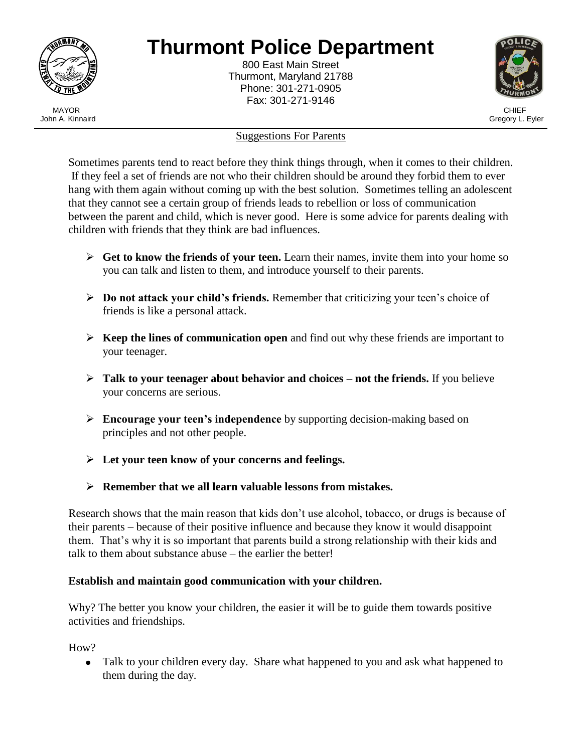

j

# **Thurmont Police Department**

800 East Main Street Thurmont, Maryland 21788 Phone: 301-271-0905 Fax: 301-271-9146



#### Suggestions For Parents

Sometimes parents tend to react before they think things through, when it comes to their children. If they feel a set of friends are not who their children should be around they forbid them to ever hang with them again without coming up with the best solution. Sometimes telling an adolescent that they cannot see a certain group of friends leads to rebellion or loss of communication between the parent and child, which is never good. Here is some advice for parents dealing with children with friends that they think are bad influences.

- **Get to know the friends of your teen.** Learn their names, invite them into your home so you can talk and listen to them, and introduce yourself to their parents.
- **Do not attack your child's friends.** Remember that criticizing your teen's choice of friends is like a personal attack.
- **Keep the lines of communication open** and find out why these friends are important to your teenager.
- **Talk to your teenager about behavior and choices – not the friends.** If you believe your concerns are serious.
- **Encourage your teen's independence** by supporting decision-making based on principles and not other people.
- **Let your teen know of your concerns and feelings.**
- **Remember that we all learn valuable lessons from mistakes.**

Research shows that the main reason that kids don't use alcohol, tobacco, or drugs is because of their parents – because of their positive influence and because they know it would disappoint them. That's why it is so important that parents build a strong relationship with their kids and talk to them about substance abuse – the earlier the better!

## **Establish and maintain good communication with your children.**

Why? The better you know your children, the easier it will be to guide them towards positive activities and friendships.

How?

• Talk to your children every day. Share what happened to you and ask what happened to them during the day.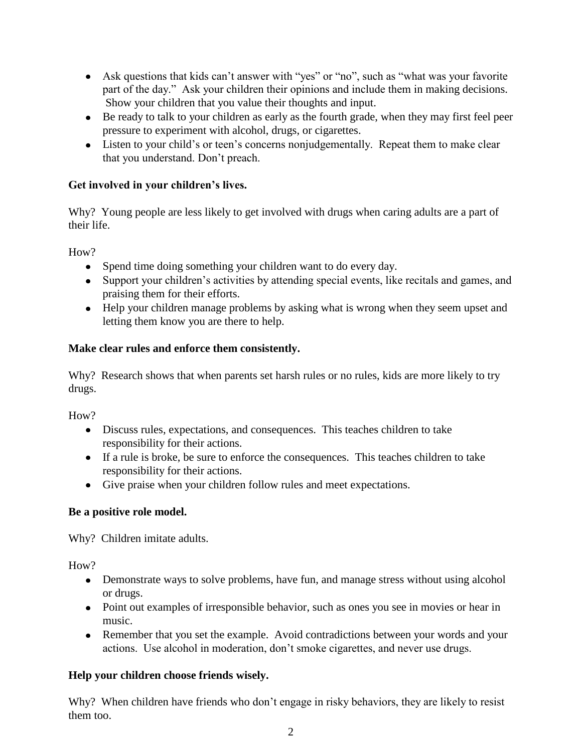- Ask questions that kids can't answer with "yes" or "no", such as "what was your favorite part of the day." Ask your children their opinions and include them in making decisions. Show your children that you value their thoughts and input.
- Be ready to talk to your children as early as the fourth grade, when they may first feel peer pressure to experiment with alcohol, drugs, or cigarettes.
- Listen to your child's or teen's concerns nonjudgementally. Repeat them to make clear that you understand. Don't preach.

## **Get involved in your children's lives.**

Why? Young people are less likely to get involved with drugs when caring adults are a part of their life.

H<sub>ow</sub>?

- Spend time doing something your children want to do every day.
- Support your children's activities by attending special events, like recitals and games, and praising them for their efforts.
- Help your children manage problems by asking what is wrong when they seem upset and letting them know you are there to help.

#### **Make clear rules and enforce them consistently.**

Why? Research shows that when parents set harsh rules or no rules, kids are more likely to try drugs.

How?

- Discuss rules, expectations, and consequences. This teaches children to take responsibility for their actions.
- If a rule is broke, be sure to enforce the consequences. This teaches children to take responsibility for their actions.
- Give praise when your children follow rules and meet expectations.

## **Be a positive role model.**

Why? Children imitate adults.

How?

- Demonstrate ways to solve problems, have fun, and manage stress without using alcohol or drugs.
- Point out examples of irresponsible behavior, such as ones you see in movies or hear in music.
- Remember that you set the example. Avoid contradictions between your words and your actions. Use alcohol in moderation, don't smoke cigarettes, and never use drugs.

## **Help your children choose friends wisely.**

Why? When children have friends who don't engage in risky behaviors, they are likely to resist them too.